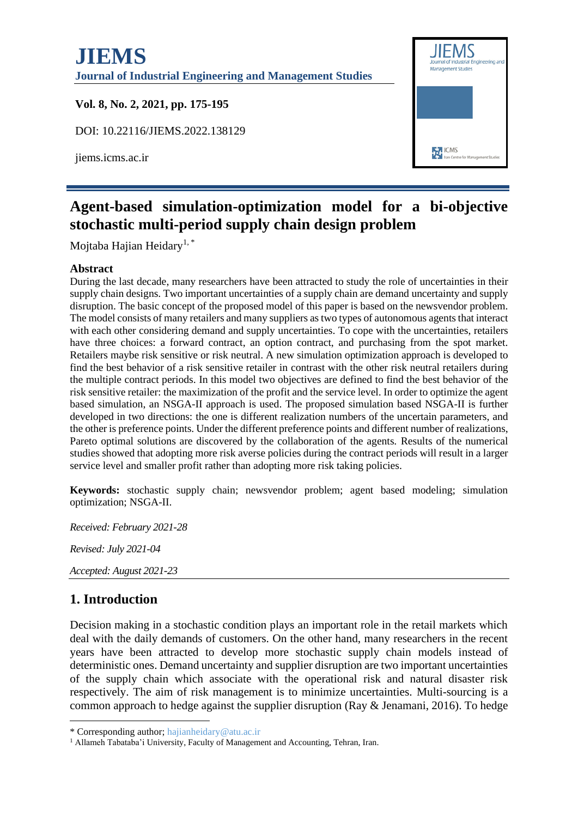

# **Agent-based simulation-optimization model for a bi-objective stochastic multi-period supply chain design problem**

Mojtaba Hajian Heidary<sup>1,\*</sup>

#### **Abstract**

During the last decade, many researchers have been attracted to study the role of uncertainties in their supply chain designs. Two important uncertainties of a supply chain are demand uncertainty and supply disruption. The basic concept of the proposed model of this paper is based on the newsvendor problem. The model consists of many retailers and many suppliers as two types of autonomous agents that interact with each other considering demand and supply uncertainties. To cope with the uncertainties, retailers have three choices: a forward contract, an option contract, and purchasing from the spot market. Retailers maybe risk sensitive or risk neutral. A new simulation optimization approach is developed to find the best behavior of a risk sensitive retailer in contrast with the other risk neutral retailers during the multiple contract periods. In this model two objectives are defined to find the best behavior of the risk sensitive retailer: the maximization of the profit and the service level. In order to optimize the agent based simulation, an NSGA-II approach is used. The proposed simulation based NSGA-II is further developed in two directions: the one is different realization numbers of the uncertain parameters, and the other is preference points. Under the different preference points and different number of realizations, Pareto optimal solutions are discovered by the collaboration of the agents. Results of the numerical studies showed that adopting more risk averse policies during the contract periods will result in a larger service level and smaller profit rather than adopting more risk taking policies.

**Keywords:** stochastic supply chain; newsvendor problem; agent based modeling; simulation optimization; NSGA-II.

*Received: February 2021-28*

*Revised: July 2021-04*

*Accepted: August 2021-23*

### **1. Introduction**

Decision making in a stochastic condition plays an important role in the retail markets which deal with the daily demands of customers. On the other hand, many researchers in the recent years have been attracted to develop more stochastic supply chain models instead of deterministic ones. Demand uncertainty and supplier disruption are two important uncertainties of the supply chain which associate with the operational risk and natural disaster risk respectively. The aim of risk management is to minimize uncertainties. Multi-sourcing is a common approach to hedge against the supplier disruption (Ray & Jenamani, 2016). To hedge

<sup>\*</sup> Corresponding author; hajianheidary@atu.ac.ir

<sup>&</sup>lt;sup>1</sup> Allameh Tabataba'i University, Faculty of Management and Accounting, Tehran, Iran.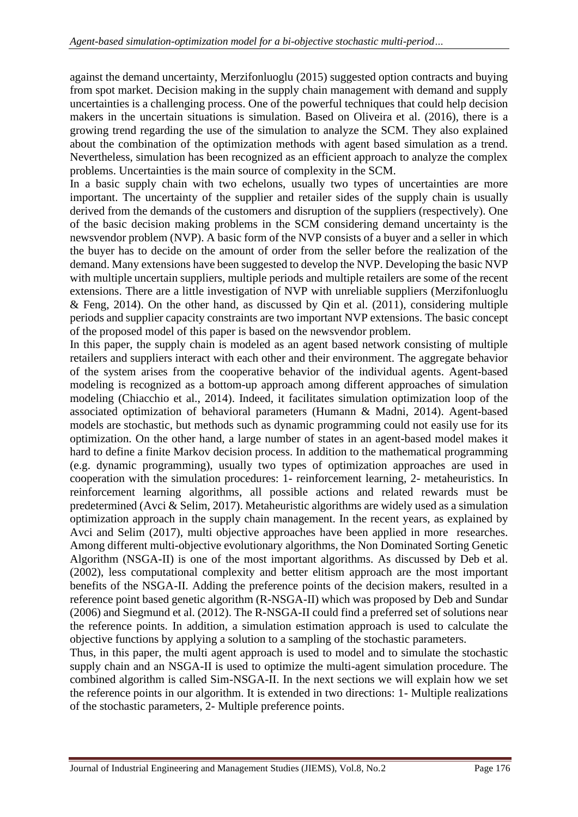against the demand uncertainty, Merzifonluoglu (2015) suggested option contracts and buying from spot market. Decision making in the supply chain management with demand and supply uncertainties is a challenging process. One of the powerful techniques that could help decision makers in the uncertain situations is simulation. Based on Oliveira et al. (2016), there is a growing trend regarding the use of the simulation to analyze the SCM. They also explained about the combination of the optimization methods with agent based simulation as a trend. Nevertheless, simulation has been recognized as an efficient approach to analyze the complex problems. Uncertainties is the main source of complexity in the SCM.

In a basic supply chain with two echelons, usually two types of uncertainties are more important. The uncertainty of the supplier and retailer sides of the supply chain is usually derived from the demands of the customers and disruption of the suppliers (respectively). One of the basic decision making problems in the SCM considering demand uncertainty is the newsvendor problem (NVP). A basic form of the NVP consists of a buyer and a seller in which the buyer has to decide on the amount of order from the seller before the realization of the demand. Many extensions have been suggested to develop the NVP. Developing the basic NVP with multiple uncertain suppliers, multiple periods and multiple retailers are some of the recent extensions. There are a little investigation of NVP with unreliable suppliers (Merzifonluoglu & Feng, 2014). On the other hand, as discussed by Qin et al. (2011), considering multiple periods and supplier capacity constraints are two important NVP extensions. The basic concept of the proposed model of this paper is based on the newsvendor problem.

In this paper, the supply chain is modeled as an agent based network consisting of multiple retailers and suppliers interact with each other and their environment. The aggregate behavior of the system arises from the cooperative behavior of the individual agents. Agent-based modeling is recognized as a bottom-up approach among different approaches of simulation modeling (Chiacchio et al., 2014). Indeed, it facilitates simulation optimization loop of the associated optimization of behavioral parameters (Humann & Madni, 2014). Agent-based models are stochastic, but methods such as dynamic programming could not easily use for its optimization. On the other hand, a large number of states in an agent-based model makes it hard to define a finite Markov decision process. In addition to the mathematical programming (e.g. dynamic programming), usually two types of optimization approaches are used in cooperation with the simulation procedures: 1- reinforcement learning, 2- metaheuristics. In reinforcement learning algorithms, all possible actions and related rewards must be predetermined (Avci & Selim, 2017). Metaheuristic algorithms are widely used as a simulation optimization approach in the supply chain management. In the recent years, as explained by Avci and Selim (2017), multi objective approaches have been applied in more researches. Among different multi-objective evolutionary algorithms, the Non Dominated Sorting Genetic Algorithm (NSGA-II) is one of the most important algorithms. As discussed by Deb et al. (2002), less computational complexity and better elitism approach are the most important benefits of the NSGA-II. Adding the preference points of the decision makers, resulted in a reference point based genetic algorithm (R-NSGA-II) which was proposed by Deb and Sundar (2006) and Siegmund et al. (2012). The R-NSGA-II could find a preferred set of solutions near the reference points. In addition, a simulation estimation approach is used to calculate the objective functions by applying a solution to a sampling of the stochastic parameters.

Thus, in this paper, the multi agent approach is used to model and to simulate the stochastic supply chain and an NSGA-II is used to optimize the multi-agent simulation procedure. The combined algorithm is called Sim-NSGA-II. In the next sections we will explain how we set the reference points in our algorithm. It is extended in two directions: 1- Multiple realizations of the stochastic parameters, 2- Multiple preference points.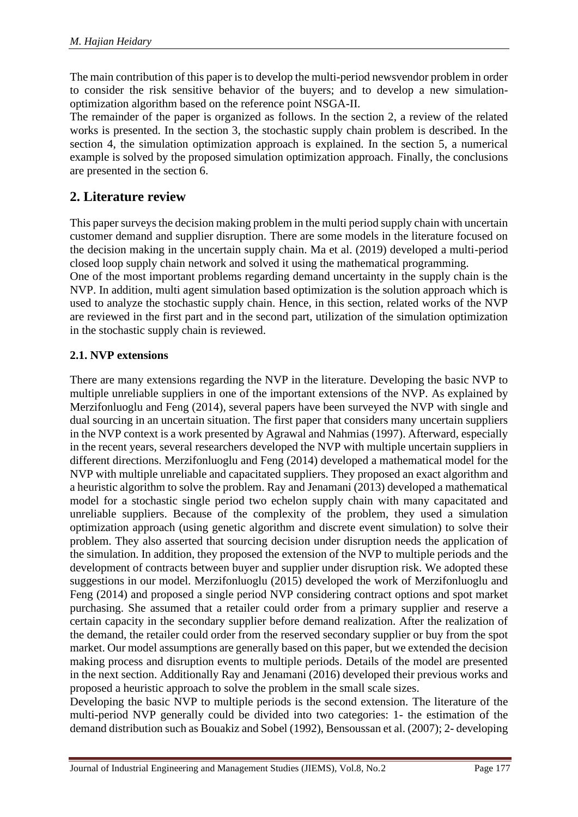The main contribution of this paper is to develop the multi-period newsvendor problem in order to consider the risk sensitive behavior of the buyers; and to develop a new simulationoptimization algorithm based on the reference point NSGA-II.

The remainder of the paper is organized as follows. In the section 2, a review of the related works is presented. In the section 3, the stochastic supply chain problem is described. In the section 4, the simulation optimization approach is explained. In the section 5, a numerical example is solved by the proposed simulation optimization approach. Finally, the conclusions are presented in the section 6.

# **2. Literature review**

This paper surveys the decision making problem in the multi period supply chain with uncertain customer demand and supplier disruption. There are some models in the literature focused on the decision making in the uncertain supply chain. Ma et al. (2019) developed a multi-period closed loop supply chain network and solved it using the mathematical programming.

One of the most important problems regarding demand uncertainty in the supply chain is the NVP. In addition, multi agent simulation based optimization is the solution approach which is used to analyze the stochastic supply chain. Hence, in this section, related works of the NVP are reviewed in the first part and in the second part, utilization of the simulation optimization in the stochastic supply chain is reviewed.

### **2.1. NVP extensions**

There are many extensions regarding the NVP in the literature. Developing the basic NVP to multiple unreliable suppliers in one of the important extensions of the NVP. As explained by Merzifonluoglu and Feng (2014), several papers have been surveyed the NVP with single and dual sourcing in an uncertain situation. The first paper that considers many uncertain suppliers in the NVP context is a work presented by Agrawal and Nahmias (1997). Afterward, especially in the recent years, several researchers developed the NVP with multiple uncertain suppliers in different directions. Merzifonluoglu and Feng (2014) developed a mathematical model for the NVP with multiple unreliable and capacitated suppliers. They proposed an exact algorithm and a heuristic algorithm to solve the problem. Ray and Jenamani (2013) developed a mathematical model for a stochastic single period two echelon supply chain with many capacitated and unreliable suppliers. Because of the complexity of the problem, they used a simulation optimization approach (using genetic algorithm and discrete event simulation) to solve their problem. They also asserted that sourcing decision under disruption needs the application of the simulation. In addition, they proposed the extension of the NVP to multiple periods and the development of contracts between buyer and supplier under disruption risk. We adopted these suggestions in our model. Merzifonluoglu (2015) developed the work of Merzifonluoglu and Feng (2014) and proposed a single period NVP considering contract options and spot market purchasing. She assumed that a retailer could order from a primary supplier and reserve a certain capacity in the secondary supplier before demand realization. After the realization of the demand, the retailer could order from the reserved secondary supplier or buy from the spot market. Our model assumptions are generally based on this paper, but we extended the decision making process and disruption events to multiple periods. Details of the model are presented in the next section. Additionally Ray and Jenamani (2016) developed their previous works and proposed a heuristic approach to solve the problem in the small scale sizes.

Developing the basic NVP to multiple periods is the second extension. The literature of the multi-period NVP generally could be divided into two categories: 1- the estimation of the demand distribution such as Bouakiz and Sobel (1992), Bensoussan et al. (2007); 2- developing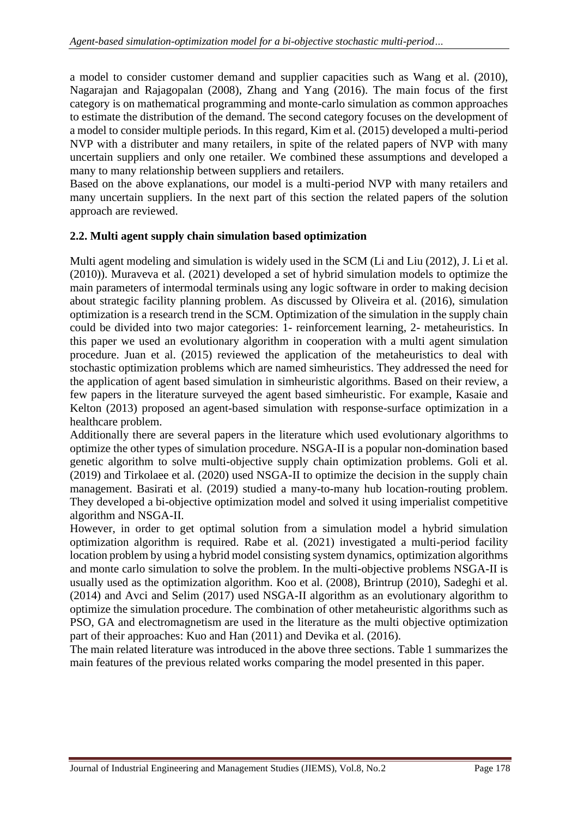a model to consider customer demand and supplier capacities such as Wang et al. (2010), Nagarajan and Rajagopalan (2008), Zhang and Yang (2016). The main focus of the first category is on mathematical programming and monte-carlo simulation as common approaches to estimate the distribution of the demand. The second category focuses on the development of a model to consider multiple periods. In this regard, Kim et al. (2015) developed a multi-period NVP with a distributer and many retailers, in spite of the related papers of NVP with many uncertain suppliers and only one retailer. We combined these assumptions and developed a many to many relationship between suppliers and retailers.

Based on the above explanations, our model is a multi-period NVP with many retailers and many uncertain suppliers. In the next part of this section the related papers of the solution approach are reviewed.

#### **2.2. Multi agent supply chain simulation based optimization**

Multi agent modeling and simulation is widely used in the SCM (Li and Liu (2012), J. Li et al. (2010)). Muraveva et al. (2021) developed a set of hybrid simulation models to optimize the main parameters of intermodal terminals using any logic software in order to making decision about strategic facility planning problem. As discussed by Oliveira et al. (2016), simulation optimization is a research trend in the SCM. Optimization of the simulation in the supply chain could be divided into two major categories: 1- reinforcement learning, 2- metaheuristics. In this paper we used an evolutionary algorithm in cooperation with a multi agent simulation procedure. Juan et al. (2015) reviewed the application of the metaheuristics to deal with stochastic optimization problems which are named simheuristics. They addressed the need for the application of agent based simulation in simheuristic algorithms. Based on their review, a few papers in the literature surveyed the agent based simheuristic. For example, Kasaie and Kelton (2013) proposed an agent-based simulation with response-surface optimization in a healthcare problem.

Additionally there are several papers in the literature which used evolutionary algorithms to optimize the other types of simulation procedure. NSGA-II is a popular non-domination based genetic algorithm to solve multi-objective supply chain optimization problems. Goli et al. (2019) and Tirkolaee et al. (2020) used NSGA-II to optimize the decision in the supply chain management. Basirati et al. (2019) studied a many-to-many hub location-routing problem. They developed a bi-objective optimization model and solved it using imperialist competitive algorithm and NSGA-II.

However, in order to get optimal solution from a simulation model a hybrid simulation optimization algorithm is required. Rabe et al. (2021) investigated a multi-period facility location problem by using a hybrid model consisting system dynamics, optimization algorithms and monte carlo simulation to solve the problem. In the multi-objective problems NSGA-II is usually used as the optimization algorithm. Koo et al. (2008), Brintrup (2010), Sadeghi et al. (2014) and Avci and Selim (2017) used NSGA-II algorithm as an evolutionary algorithm to optimize the simulation procedure. The combination of other metaheuristic algorithms such as PSO, GA and electromagnetism are used in the literature as the multi objective optimization part of their approaches: Kuo and Han (2011) and Devika et al. (2016).

The main related literature was introduced in the above three sections. Table 1 summarizes the main features of the previous related works comparing the model presented in this paper.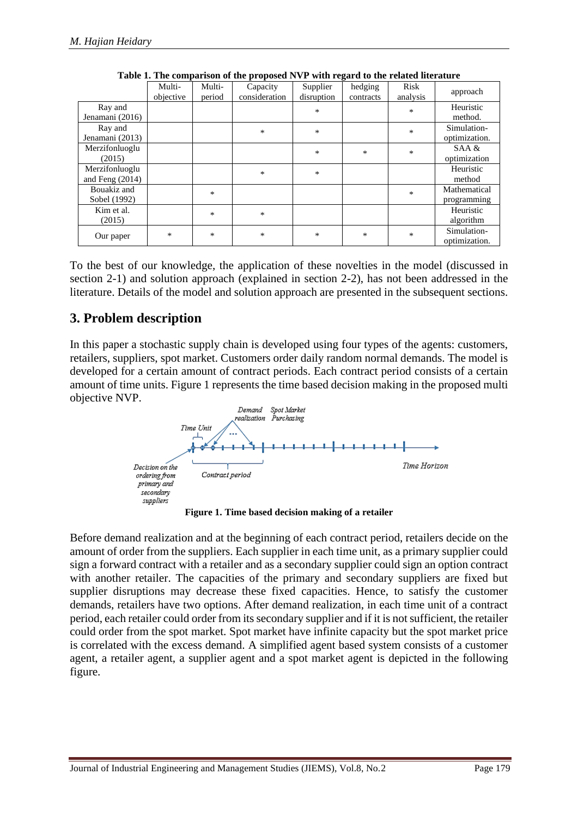|                                     | Multi-<br>objective | Multi-<br>period | Capacity<br>consideration | Supplier<br>disruption | hedging<br>contracts | Risk<br>analysis | approach                     |
|-------------------------------------|---------------------|------------------|---------------------------|------------------------|----------------------|------------------|------------------------------|
| Ray and<br>Jenamani (2016)          |                     |                  |                           | $\ast$                 |                      | $\ast$           | Heuristic<br>method.         |
| Ray and<br>Jenamani (2013)          |                     |                  | $\ast$                    | $\ast$                 |                      | $\ast$           | Simulation-<br>optimization. |
| Merzifonluoglu<br>(2015)            |                     |                  |                           | *                      | $\ast$               | $\ast$           | SAA &<br>optimization        |
| Merzifonluoglu<br>and Feng $(2014)$ |                     |                  | $\ast$                    | $\ast$                 |                      |                  | Heuristic<br>method          |
| Bouakiz and<br>Sobel (1992)         |                     | $*$              |                           |                        |                      | $\ast$           | Mathematical<br>programming  |
| Kim et al.<br>(2015)                |                     | *                | $\ast$                    |                        |                      |                  | Heuristic<br>algorithm       |
| Our paper                           | *                   | *                | $\ast$                    | *                      | $\ast$               | $\ast$           | Simulation-<br>optimization. |

**Table 1. The comparison of the proposed NVP with regard to the related literature**

To the best of our knowledge, the application of these novelties in the model (discussed in section 2-1) and solution approach (explained in section 2-2), has not been addressed in the literature. Details of the model and solution approach are presented in the subsequent sections.

### **3. Problem description**

In this paper a stochastic supply chain is developed using four types of the agents: customers, retailers, suppliers, spot market. Customers order daily random normal demands. The model is developed for a certain amount of contract periods. Each contract period consists of a certain amount of time units. Figure 1 represents the time based decision making in the proposed multi objective NVP.



**Figure 1. Time based decision making of a retailer**

Before demand realization and at the beginning of each contract period, retailers decide on the amount of order from the suppliers. Each supplier in each time unit, as a primary supplier could sign a forward contract with a retailer and as a secondary supplier could sign an option contract with another retailer. The capacities of the primary and secondary suppliers are fixed but supplier disruptions may decrease these fixed capacities. Hence, to satisfy the customer demands, retailers have two options. After demand realization, in each time unit of a contract period, each retailer could order from its secondary supplier and if it is not sufficient, the retailer could order from the spot market. Spot market have infinite capacity but the spot market price is correlated with the excess demand. A simplified agent based system consists of a customer agent, a retailer agent, a supplier agent and a spot market agent is depicted in the following figure.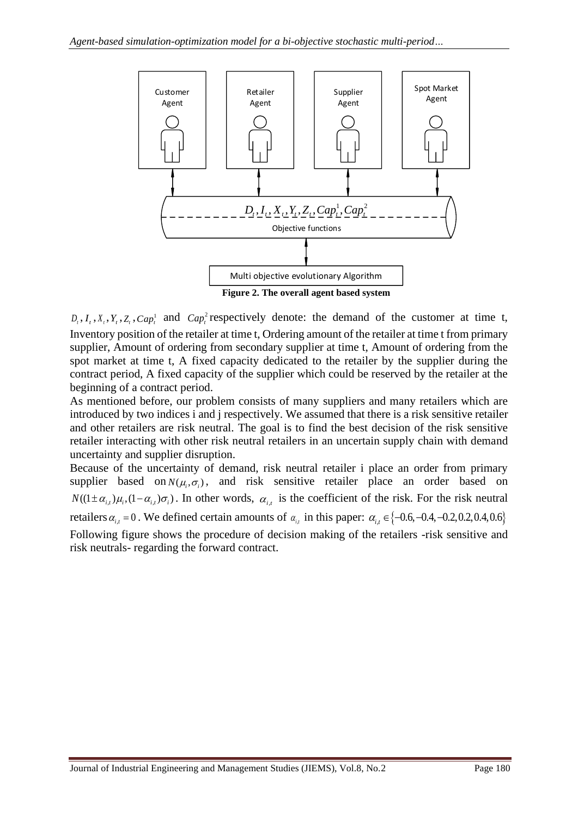

**Figure 2. The overall agent based system**

 $D_t$ ,  $I_t$ ,  $X_t$ ,  $Y_t$ ,  $Z_t$ ,  $Cap_t^1$  and  $Cap_t^2$  respectively denote: the demand of the customer at time t, Inventory position of the retailer at time t, Ordering amount of the retailer at time t from primary supplier, Amount of ordering from secondary supplier at time t, Amount of ordering from the spot market at time t, A fixed capacity dedicated to the retailer by the supplier during the contract period, A fixed capacity of the supplier which could be reserved by the retailer at the beginning of a contract period.

As mentioned before, our problem consists of many suppliers and many retailers which are introduced by two indices i and j respectively. We assumed that there is a risk sensitive retailer and other retailers are risk neutral. The goal is to find the best decision of the risk sensitive retailer interacting with other risk neutral retailers in an uncertain supply chain with demand uncertainty and supplier disruption.

Because of the uncertainty of demand, risk neutral retailer i place an order from primary supplier based on  $N(\mu_i, \sigma_i)$ , and risk sensitive retailer place an order based on  $N((1 \pm \alpha_{i,t})\mu_i, (1-\alpha_{i,t})\sigma_i)$ . In other words,  $\alpha_{i,t}$  is the coefficient of the risk. For the risk neutral retailers  $\alpha_{i,t} = 0$ . We defined certain amounts of  $\alpha_{i,t}$  in this paper:  $\alpha_{i,t} \in \{-0.6, -0.4, -0.2, 0.2, 0.4, 0.6\}$ Following figure shows the procedure of decision making of the retailers -risk sensitive and risk neutrals- regarding the forward contract.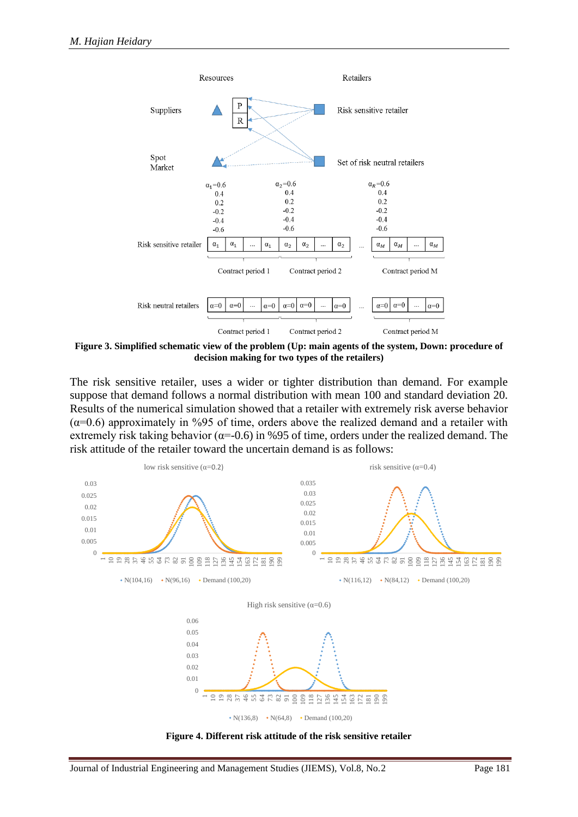

**Figure 3. Simplified schematic view of the problem (Up: main agents of the system, Down: procedure of decision making for two types of the retailers)**

The risk sensitive retailer, uses a wider or tighter distribution than demand. For example suppose that demand follows a normal distribution with mean 100 and standard deviation 20. Results of the numerical simulation showed that a retailer with extremely risk averse behavior  $(\alpha=0.6)$  approximately in %95 of time, orders above the realized demand and a retailer with extremely risk taking behavior ( $\alpha$ =-0.6) in %95 of time, orders under the realized demand. The risk attitude of the retailer toward the uncertain demand is as follows:



**Figure 4. Different risk attitude of the risk sensitive retailer**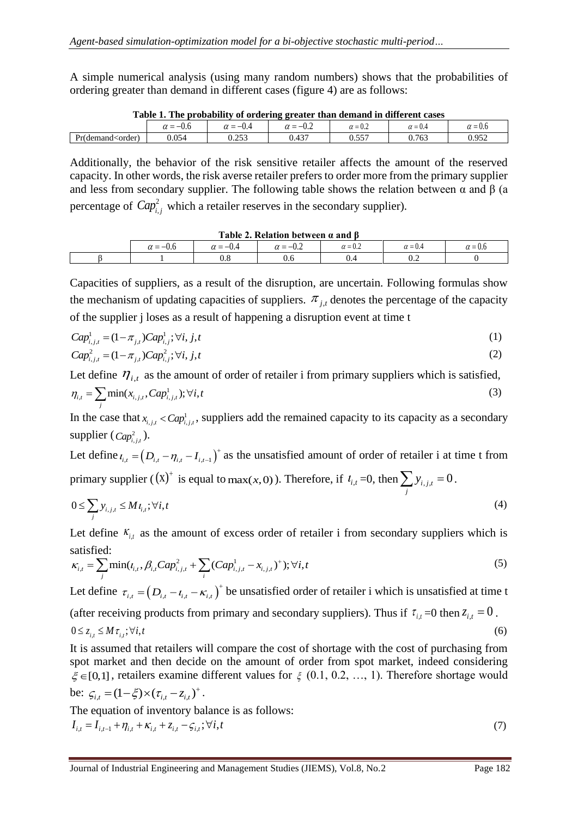A simple numerical analysis (using many random numbers) shows that the probabilities of ordering greater than demand in different cases (figure 4) are as follows:

| Table 1. The probability of ordering greater than demand in unferent cases                                                                                     |                 |              |                 |                |                |            |  |
|----------------------------------------------------------------------------------------------------------------------------------------------------------------|-----------------|--------------|-----------------|----------------|----------------|------------|--|
|                                                                                                                                                                | $\alpha = -0.6$ | $=-0.4$      | $\alpha = -0.2$ | $\alpha = 0.4$ | $\alpha = 0.4$ | $= 0.6$    |  |
| Pr(demand <order)< td=""><td>0.054</td><td>252<br/>∪.∠J.</td><td><math>0.43^{-}</math></td><td>v.JJ</td><td>).76.</td><td><math>95^\circ</math></td></order)<> | 0.054           | 252<br>∪.∠J. | $0.43^{-}$      | v.JJ           | ).76.          | $95^\circ$ |  |
|                                                                                                                                                                |                 |              |                 |                |                |            |  |

| Table 1. The probability of ordering greater than demand in different cases |
|-----------------------------------------------------------------------------|
|-----------------------------------------------------------------------------|

Additionally, the behavior of the risk sensitive retailer affects the amount of the reserved capacity. In other words, the risk averse retailer prefers to order more from the primary supplier and less from secondary supplier. The following table shows the relation between  $\alpha$  and  $\beta$  (a percentage of  $Cap_{i,j}^2$  which a retailer reserves in the secondary supplier).

| Table 2. Relation between $\alpha$ and $\beta$ |            |                 |                      |                |                |                    |  |
|------------------------------------------------|------------|-----------------|----------------------|----------------|----------------|--------------------|--|
|                                                | $\gamma =$ | $\alpha = -0.4$ | $-0.2$<br>$\alpha =$ | $\alpha = 0.2$ | $\alpha = 0.4$ | $\sim$ 1<br>$-0.0$ |  |
|                                                |            | 0.8             |                      | 0.4            | $v.\Delta$     |                    |  |

Capacities of suppliers, as a result of the disruption, are uncertain. Following formulas show the mechanism of updating capacities of suppliers.  $\pi_{j,t}$  denotes the percentage of the capacity of the supplier j loses as a result of happening a disruption event at time t

$$
Cap_{i,j,t}^1 = (1 - \pi_{j,t})Cap_{i,j}^1; \forall i, j, t
$$
\n(1)

$$
Cap_{i,j,t}^2 = (1 - \pi_{j,t})Cap_{i,j}^2; \forall i, j, t
$$
\n(2)

Let define  $\eta_{i,t}$  as the amount of order of retailer i from primary suppliers which is satisfied,

$$
\eta_{i,t} = \sum_{j} \min(x_{i,j,t}, Cap_{i,j,t}^1); \forall i, t
$$
 (3)

In the case that  $x_{i,j,t} < Cap_{i,j,t}^1$ , suppliers add the remained capacity to its capacity as a secondary supplier  $(\textit{Cap}^2_{i,j,t})$ .

Let define  $t_{i,t} = (D_{i,t} - \eta_{i,t} - I_{i,t-1})^+$  as the unsatisfied amount of order of retailer i at time t from primary supplier ( $(X)^{+}$  is equal to  $\max(x, 0)$ ). Therefore, if  $l_{i,t} = 0$ , then  $\sum y_{i,j,t} = 0$  $\sum y_{i,j,t} = 0$ .

$$
0 \le \sum_{j} y_{i,j,t} \le M t_{i,t}; \forall i,t
$$
\n<sup>(4)</sup>

Let define  $K_{i,t}$  as the amount of excess order of retailer i from secondary suppliers which is satisfied:

$$
\kappa_{i,t} = \sum_{j} \min(t_{i,t}, \beta_{i,t} Cap_{i,j,t}^2 + \sum_{i} (Cap_{i,j,t}^1 - x_{i,j,t})^+); \forall i, t
$$
 (5)

Let define  $\tau_{i,t} = (D_{i,t} - t_{i,t} - \kappa_{i,t})^+$  be unsatisfied order of retailer i which is unsatisfied at time t

(after receiving products from primary and secondary suppliers). Thus if  $\tau_{i,t} = 0$  then  $z_{i,t} = 0$ .

$$
0 \le z_{i,t} \le M \tau_{i,t}; \forall i, t \tag{6}
$$

It is assumed that retailers will compare the cost of shortage with the cost of purchasing from spot market and then decide on the amount of order from spot market, indeed considering  $\xi \in [0,1]$ , retailers examine different values for  $\xi$  (0.1, 0.2, ..., 1). Therefore shortage would be:  $\zeta_{i,t} = (1 - \xi) \times (\tau_{i,t} - z_{i,t})^+$ .

The equation of inventory balance is as follows:

$$
I_{i,t} = I_{i,t-1} + \eta_{i,t} + \kappa_{i,t} + z_{i,t} - \zeta_{i,t}; \forall i, t
$$
\n(7)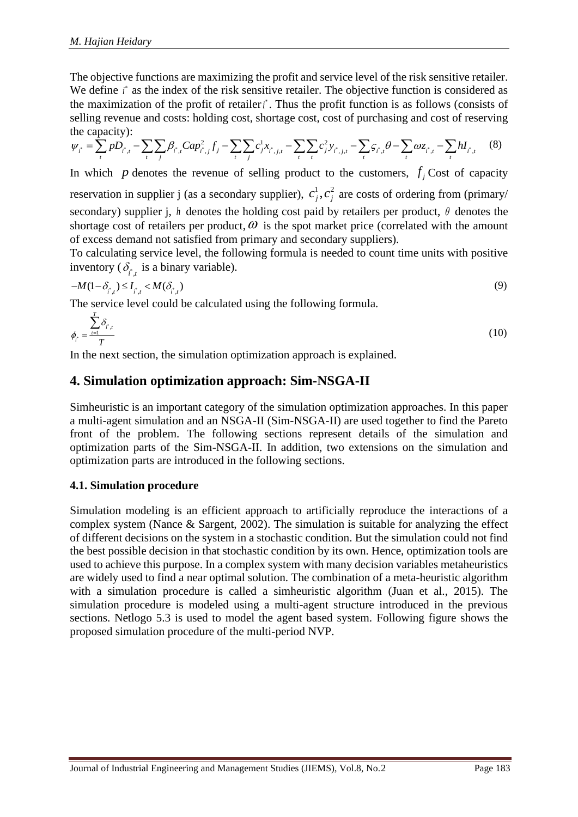The objective functions are maximizing the profit and service level of the risk sensitive retailer. We define *i*<sup>\*</sup> as the index of the risk sensitive retailer. The objective function is considered as the maximization of the profit of retailer *i*<sup>\*</sup>. Thus the profit function is as follows (consists of selling revenue and costs: holding cost, shortage cost, cost of purchasing and cost of reserving the capacity):

$$
\psi_{i}^{*} = \sum_{t} p_{i} D_{i}^{*} - \sum_{t} \sum_{j} \beta_{i}^{*} C a p_{i,j}^{2} f_{j} - \sum_{t} \sum_{j} c_{j}^{1} x_{i,j,t} - \sum_{t} \sum_{t} c_{j}^{2} y_{i,j,t} - \sum_{t} \varsigma_{i}^{*} \theta - \sum_{t} \omega_{\varsigma_{i},t} - \sum_{t} h I_{i}^{*} \tag{8}
$$

In which p denotes the revenue of selling product to the customers,  $f_j$  Cost of capacity reservation in supplier j (as a secondary supplier),  $c_j^1$ ,  $c_j^2$  are costs of ordering from (primary/ secondary) supplier j, h denotes the holding cost paid by retailers per product,  $\theta$  denotes the shortage cost of retailers per product,  $\omega$  is the spot market price (correlated with the amount of excess demand not satisfied from primary and secondary suppliers).

To calculating service level, the following formula is needed to count time units with positive inventory ( $\delta_{i,t}$  is a binary variable).

$$
-M(1-\delta_{i,j}^*) \le I_{i,j}^* < M(\delta_{i,j}^*)
$$
\n<sup>(9)</sup>

The service level could be calculated using the following formula.

$$
\phi_{\vec{i}} = \frac{\sum_{t=1}^{T} \delta_{\vec{i}',t}}{T}
$$
\n(10)

In the next section, the simulation optimization approach is explained.

### **4. Simulation optimization approach: Sim-NSGA-II**

Simheuristic is an important category of the simulation optimization approaches. In this paper a multi-agent simulation and an NSGA-II (Sim-NSGA-II) are used together to find the Pareto front of the problem. The following sections represent details of the simulation and optimization parts of the Sim-NSGA-II. In addition, two extensions on the simulation and optimization parts are introduced in the following sections.

### **4.1. Simulation procedure**

Simulation modeling is an efficient approach to artificially reproduce the interactions of a complex system (Nance & Sargent, 2002). The simulation is suitable for analyzing the effect of different decisions on the system in a stochastic condition. But the simulation could not find the best possible decision in that stochastic condition by its own. Hence, optimization tools are used to achieve this purpose. In a complex system with many decision variables metaheuristics are widely used to find a near optimal solution. The combination of a meta-heuristic algorithm with a simulation procedure is called a simheuristic algorithm (Juan et al., 2015). The simulation procedure is modeled using a multi-agent structure introduced in the previous sections. Netlogo 5.3 is used to model the agent based system. Following figure shows the proposed simulation procedure of the multi-period NVP.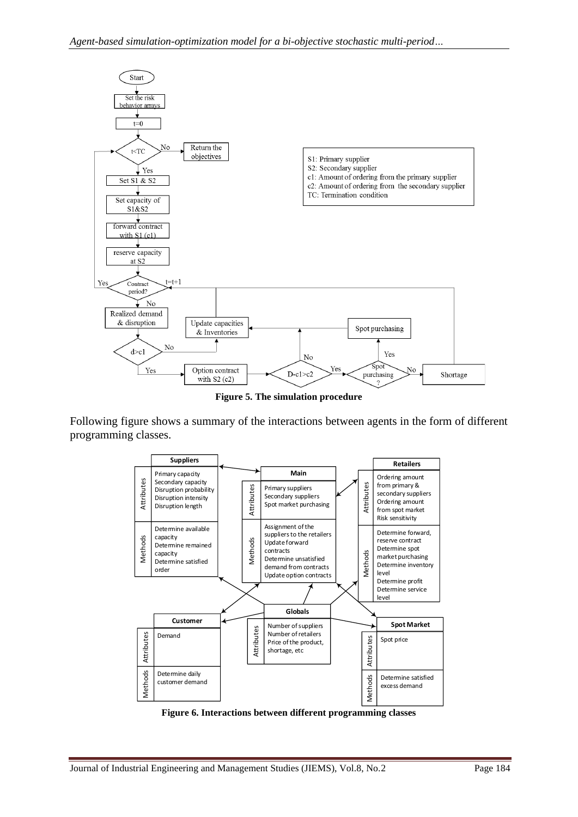

**Figure 5. The simulation procedure**

Following figure shows a summary of the interactions between agents in the form of different programming classes.



**Figure 6. Interactions between different programming classes**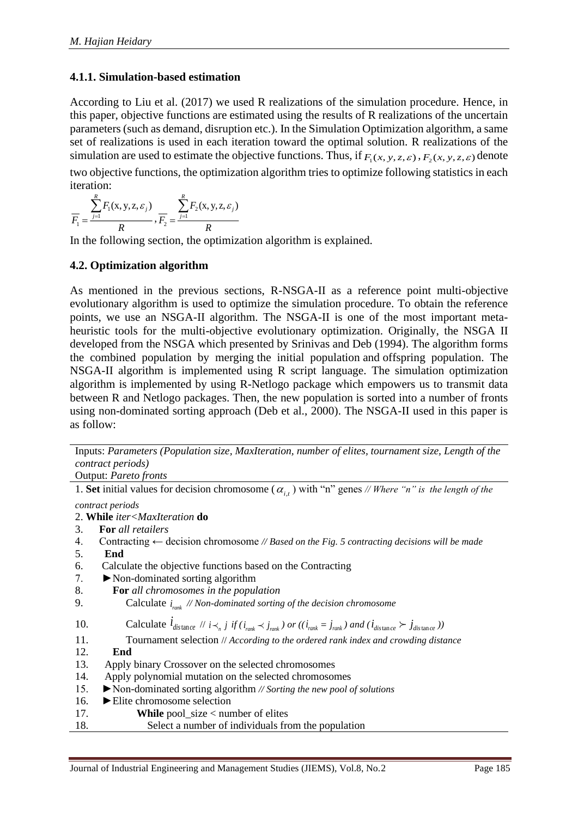#### **4.1.1. Simulation-based estimation**

According to Liu et al. (2017) we used R realizations of the simulation procedure. Hence, in this paper, objective functions are estimated using the results of R realizations of the uncertain parameters (such as demand, disruption etc.). In the Simulation Optimization algorithm, a same set of realizations is used in each iteration toward the optimal solution. R realizations of the simulation are used to estimate the objective functions. Thus, if  $F_1(x, y, z, \varepsilon)$ ,  $F_2(x, y, z, \varepsilon)$  denote two objective functions, the optimization algorithm tries to optimize following statistics in each iteration:

$$
\overline{F_1} = \frac{\sum_{j=1}^{R} F_1(x, y, z, \varepsilon_j)}{R}, \overline{F_2} = \frac{\sum_{j=1}^{R} F_2(x, y, z, \varepsilon_j)}{R}
$$

In the following section, the optimization algorithm is explained.

#### **4.2. Optimization algorithm**

As mentioned in the previous sections, R-NSGA-II as a reference point multi-objective evolutionary algorithm is used to optimize the simulation procedure. To obtain the reference points, we use an NSGA-II algorithm. The NSGA-II is one of the most important metaheuristic tools for the multi-objective evolutionary optimization. Originally, the NSGA II developed from the NSGA which presented by Srinivas and Deb (1994). The algorithm forms the combined population by merging the initial population and offspring population. The NSGA-II algorithm is implemented using R script language. The simulation optimization algorithm is implemented by using R-Netlogo package which empowers us to transmit data between R and Netlogo packages. Then, the new population is sorted into a number of fronts using non-dominated sorting approach (Deb et al., 2000). The NSGA-II used in this paper is as follow:

Inputs: *Parameters (Population size, MaxIteration, number of elites, tournament size, Length of the contract periods)* Output: *Pareto fronts*

| 1. Set initial values for decision chromosome ( $\alpha_{i,t}$ ) with "n" genes // Where "n" is the length of the                                |
|--------------------------------------------------------------------------------------------------------------------------------------------------|
| contract periods                                                                                                                                 |
| 2. While <i>iter<maxiteration< i=""> do</maxiteration<></i>                                                                                      |
| <b>For</b> all retailers<br>3.                                                                                                                   |
| Contracting $\leftarrow$ decision chromosome // Based on the Fig. 5 contracting decisions will be made<br>4.                                     |
| 5.<br>End                                                                                                                                        |
| Calculate the objective functions based on the Contracting<br>6.                                                                                 |
| 7.<br>$\triangleright$ Non-dominated sorting algorithm                                                                                           |
| 8.<br>For all chromosomes in the population                                                                                                      |
| 9.<br>Calculate $i_{rank}$ // Non-dominated sorting of the decision chromosome                                                                   |
| Calculate $l_{distance}$ // $i \lt_{n}$ j if $(i_{rank} \lt j_{rank})$ or $((i_{rank} = j_{rank})$ and $(i_{distance} \gt j_{distance}))$<br>10. |
| 11.<br>Tournament selection // According to the ordered rank index and crowding distance                                                         |
| 12.<br>End                                                                                                                                       |
| 13.<br>Apply binary Crossover on the selected chromosomes                                                                                        |
| Apply polynomial mutation on the selected chromosomes<br>14.                                                                                     |
| $\blacktriangleright$ Non-dominated sorting algorithm // Sorting the new pool of solutions<br>15.                                                |
| $\blacktriangleright$ Elite chromosome selection<br>16.                                                                                          |
| <b>While</b> pool_size $\lt$ number of elites<br>17.                                                                                             |

18. Select a number of individuals from the population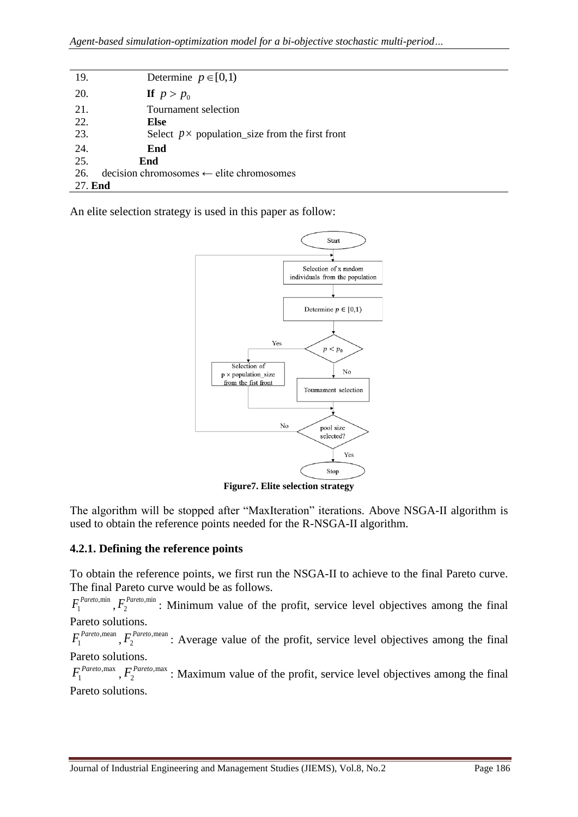| 19.     | Determine $p \in [0,1)$                                |
|---------|--------------------------------------------------------|
| 20.     | If $p > p_0$                                           |
| 21.     | Tournament selection                                   |
| 22.     | Else                                                   |
| 23.     | Select $p \times$ population_size from the first front |
| 24.     | End                                                    |
| 25.     | End                                                    |
| 26.     | $decision$ chromosomes $\leftarrow$ elite chromosomes  |
| 27. End |                                                        |
|         |                                                        |

An elite selection strategy is used in this paper as follow:



**Figure7. Elite selection strategy**

The algorithm will be stopped after "MaxIteration" iterations. Above NSGA-II algorithm is used to obtain the reference points needed for the R-NSGA-II algorithm.

### **4.2.1. Defining the reference points**

To obtain the reference points, we first run the NSGA-II to achieve to the final Pareto curve. The final Pareto curve would be as follows.

,min  $F_1^{\textit{Pareto}, \min}$  ,  $F_2^{\textit{Pareto}, \min}$  $F_2^{Pareto,min}$ : Minimum value of the profit, service level objectives among the final Pareto solutions.

 $F_1^{Pareto,mean}$ ,  $F_2^{Pareto,mean}$ : Average value of the profit, service level objectives among the final Pareto solutions.

 $F_1^{Pareto, max}$ ,  $F_2^{Pareto, max}$ : Maximum value of the profit, service level objectives among the final Pareto solutions.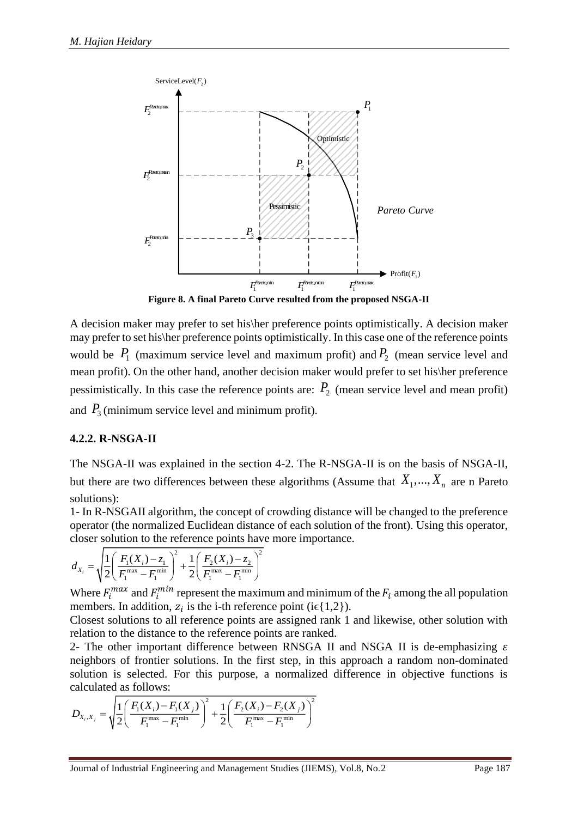

**Figure 8. A final Pareto Curve resulted from the proposed NSGA-II**

Figure 8. A final Partic occur is finitheliable proposed NSGA-II<br>
A decision maker may prefer to set his there preference points optimistically. In this case one of the reference points<br>
would be  $P_i$  (maximum service lev A decision maker may prefer to set his\her preference points optimistically. A decision maker may prefer to set his\her preference points optimistically. In this case one of the reference points would be  $P_1$  (maximum service level and maximum profit) and  $P_2$  (mean service level and mean profit). On the other hand, another decision maker would prefer to set his\her preference pessimistically. In this case the reference points are:  $P_2$  (mean service level and mean profit) and  $P_3$  (minimum service level and minimum profit).

### **4.2.2. R-NSGA-II**

The NSGA-II was explained in the section 4-2. The R-NSGA-II is on the basis of NSGA-II, but there are two differences between these algorithms (Assume that  $X_1, ..., X_n$  are n Pareto solutions):

1- In R-NSGAII algorithm, the concept of crowding distance will be changed to the preference operator (the normalized Euclidean distance of each solution of the front). Using this operator, closer solution to the reference points have more importance.

$$
d_{X_i} = \sqrt{\frac{1}{2} \left( \frac{F_1(X_i) - z_1}{F_1^{\max} - F_1^{\min}} \right)^2 + \frac{1}{2} \left( \frac{F_2(X_i) - z_2}{F_1^{\max} - F_1^{\min}} \right)^2}
$$

Where  $F_i^{max}$  and  $F_i^{min}$  represent the maximum and minimum of the  $F_i$  among the all population members. In addition,  $z_i$  is the i-th reference point (i $\epsilon$ {1,2}).

Closest solutions to all reference points are assigned rank 1 and likewise, other solution with relation to the distance to the reference points are ranked.

2- The other important difference between RNSGA II and NSGA II is de-emphasizing  $\varepsilon$ neighbors of frontier solutions. In the first step, in this approach a random non-dominated solution is selected. For this purpose, a normalized difference in objective functions is calculated as follows:

$$
D_{X_i, X_j} = \sqrt{\frac{1}{2} \left( \frac{F_1(X_i) - F_1(X_j)}{F_1^{\max} - F_1^{\min}} \right)^2 + \frac{1}{2} \left( \frac{F_2(X_i) - F_2(X_j)}{F_1^{\max} - F_1^{\min}} \right)^2}
$$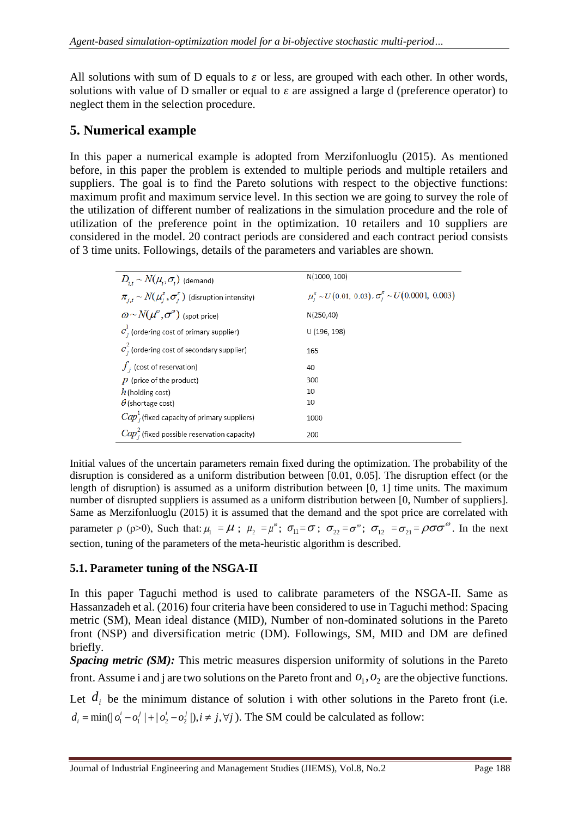All solutions with sum of D equals to  $\varepsilon$  or less, are grouped with each other. In other words, solutions with value of D smaller or equal to  $\varepsilon$  are assigned a large d (preference operator) to neglect them in the selection procedure.

### **5. Numerical example**

In this paper a numerical example is adopted from Merzifonluoglu (2015). As mentioned before, in this paper the problem is extended to multiple periods and multiple retailers and suppliers. The goal is to find the Pareto solutions with respect to the objective functions: maximum profit and maximum service level. In this section we are going to survey the role of the utilization of different number of realizations in the simulation procedure and the role of utilization of the preference point in the optimization. 10 retailers and 10 suppliers are considered in the model. 20 contract periods are considered and each contract period consists of 3 time units. Followings, details of the parameters and variables are shown.

| $D_{i} \sim N(\mu_i, \sigma_i)$ (demand)                               | N(1000, 100)                                                           |
|------------------------------------------------------------------------|------------------------------------------------------------------------|
| $\pi_{i,t} \sim N(\mu_i^{\pi}, \sigma_i^{\pi})$ (disruption intensity) | $\mu_i^{\pi} \sim U(0.01, 0.03), \sigma_i^{\pi} \sim U(0.0001, 0.003)$ |
| $\omega \sim N(\mu^{\omega}, \sigma^{\omega})$ (spot price)            | N(250, 40)                                                             |
| $c^1$ ; (ordering cost of primary supplier)                            | U (196, 198)                                                           |
| $c_j^2$ (ordering cost of secondary supplier)                          | 165                                                                    |
| $f_{j}$ (cost of reservation)                                          | 40                                                                     |
| $p$ (price of the product)                                             | 300                                                                    |
| $h$ (holding cost)                                                     | 10                                                                     |
| $\theta$ (shortage cost)                                               | 10                                                                     |
| $Cap_{i}^{1}$ (fixed capacity of primary suppliers)                    | 1000                                                                   |
| $Cap_i^2$ (fixed possible reservation capacity)                        | 200                                                                    |

Initial values of the uncertain parameters remain fixed during the optimization. The probability of the disruption is considered as a uniform distribution between [0.01, 0.05]. The disruption effect (or the length of disruption) is assumed as a uniform distribution between [0, 1] time units. The maximum number of disrupted suppliers is assumed as a uniform distribution between [0, Number of suppliers]. Same as Merzifonluoglu (2015) it is assumed that the demand and the spot price are correlated with parameter  $\rho$  ( $\rho$ >0), Such that:  $\mu_1 = \mu$ ;  $\mu_2 = \mu^\omega$ ;  $\sigma_{11} = \sigma$ ;  $\sigma_{22} = \sigma^\omega$ ;  $\sigma_{12} = \sigma_{21} = \rho \sigma \sigma^\omega$ . In the next section, tuning of the parameters of the meta-heuristic algorithm is described.

#### **5.1. Parameter tuning of the NSGA-II**

In this paper Taguchi method is used to calibrate parameters of the NSGA-II. Same as Hassanzadeh et al. (2016) four criteria have been considered to use in Taguchi method: Spacing metric (SM), Mean ideal distance (MID), Number of non-dominated solutions in the Pareto front (NSP) and diversification metric (DM). Followings, SM, MID and DM are defined briefly.

*Spacing metric (SM):* This metric measures dispersion uniformity of solutions in the Pareto front. Assume i and j are two solutions on the Pareto front and  $O_1$ ,  $O_2$  are the objective functions.

Let  $d_i$  be the minimum distance of solution i with other solutions in the Pareto front (i.e.  $d_i = min(|o_1^i - o_1^j| + |o_2^i - o_2^j|), i \neq j, \forall j$ ). The SM could be calculated as follow: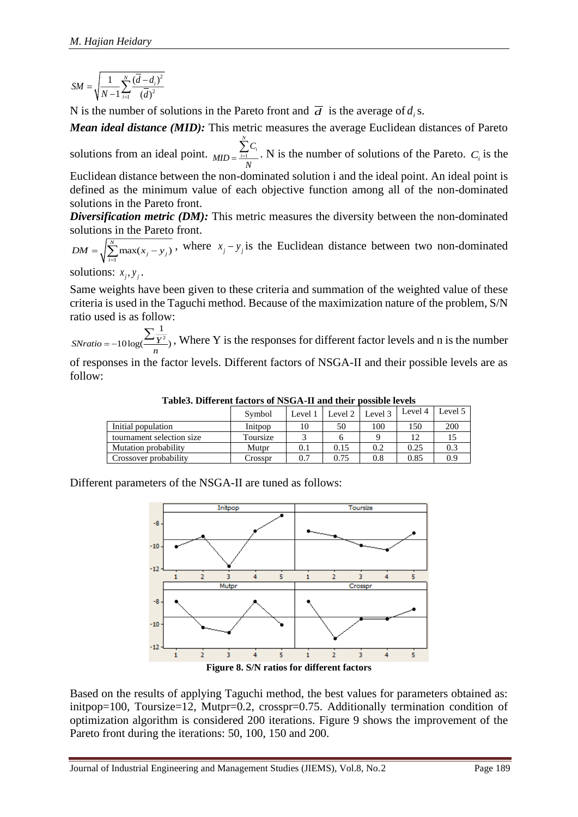$$
SM = \sqrt{\frac{1}{N-1}\sum_{i=1}^{N}\frac{(\overline{d}-d_i)^2}{(\overline{d})^2}}
$$

N is the number of solutions in the Pareto front and  $\overline{d}$  is the average of  $d_i$ s.

*Mean ideal distance (MID):* This metric measures the average Euclidean distances of Pareto

solutions from an ideal point.  $_{MID} = \frac{\sum_{i=1}^{n} x_i}{n!}$ *N*  $\sum_{i=1}$   $\sum_i$ *C*  $MD = \frac{\sum_{i=1}^{n} C_i}{N}$ . N is the number of solutions of the Pareto.  $C_i$  is the

Euclidean distance between the non-dominated solution i and the ideal point. An ideal point is defined as the minimum value of each objective function among all of the non-dominated solutions in the Pareto front.

*Diversification metric (DM):* This metric measures the diversity between the non-dominated solutions in the Pareto front.

 $\sum_{j=1}^{N} \max(x_j - y_j)$  $DM = \sqrt{\sum_{i=1}^{N} \max(x_j - y_i)}$ , where  $x_j - y_j$  is the Euclidean distance between two non-dominated

solutions:  $x_j, y_j$ .

Same weights have been given to these criteria and summation of the weighted value of these criteria is used in the Taguchi method. Because of the maximization nature of the problem, S/N ratio used is as follow:

2 1  $\frac{\sum_{i=1}^{n} Y_i}{\sum_{i=1}^{n} Y_i}$ , Where Y is the responses for different factor levels and n is the number *n*

of responses in the factor levels. Different factors of NSGA-II and their possible levels are as follow:

|                           | Symbol   |     | Level 1   Level 2   Level 3 |     | Level 4 | Level 5 |
|---------------------------|----------|-----|-----------------------------|-----|---------|---------|
| Initial population        | Initpop  |     | 50                          | 100 | 150     | 200     |
| tournament selection size | Toursize |     |                             |     | 12      |         |
| Mutation probability      | Mutpr    | 0.1 | 0.15                        | 0.2 | 0.25    | 0.3     |
| Crossover probability     | Crosspr  | 0.7 | 0.75                        | 0.8 | 0.85    | 0.9     |

**Table3. Different factors of NSGA-II and their possible levels**

Different parameters of the NSGA-II are tuned as follows:



Based on the results of applying Taguchi method, the best values for parameters obtained as: initpop=100, Toursize=12, Mutpr=0.2, crosspr=0.75. Additionally termination condition of optimization algorithm is considered 200 iterations. Figure 9 shows the improvement of the Pareto front during the iterations: 50, 100, 150 and 200.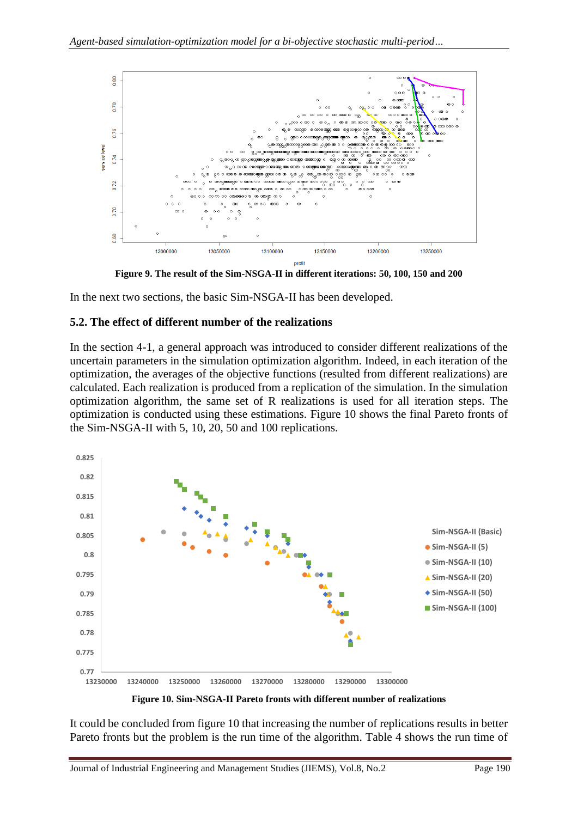

**Figure 9. The result of the Sim-NSGA-II in different iterations: 50, 100, 150 and 200**

In the next two sections, the basic Sim-NSGA-II has been developed.

#### **5.2. The effect of different number of the realizations**

In the section 4-1, a general approach was introduced to consider different realizations of the uncertain parameters in the simulation optimization algorithm. Indeed, in each iteration of the optimization, the averages of the objective functions (resulted from different realizations) are calculated. Each realization is produced from a replication of the simulation. In the simulation optimization algorithm, the same set of R realizations is used for all iteration steps. The optimization is conducted using these estimations. Figure 10 shows the final Pareto fronts of the Sim-NSGA-II with 5, 10, 20, 50 and 100 replications.



**Figure 10. Sim-NSGA-II Pareto fronts with different number of realizations**

It could be concluded from figure 10 that increasing the number of replications results in better Pareto fronts but the problem is the run time of the algorithm. Table 4 shows the run time of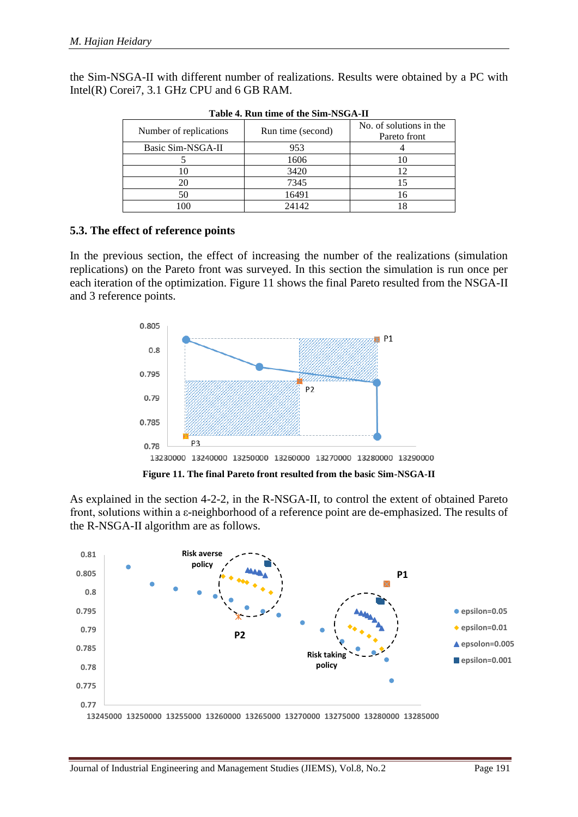the Sim-NSGA-II with different number of realizations. Results were obtained by a PC with Intel(R) Corei7, 3.1 GHz CPU and 6 GB RAM.

| <b>rable 4. Kull thate of the Shir-ASGA-II</b> |                   |                                         |  |  |  |  |
|------------------------------------------------|-------------------|-----------------------------------------|--|--|--|--|
| Number of replications                         | Run time (second) | No. of solutions in the<br>Pareto front |  |  |  |  |
| Basic Sim-NSGA-II                              | 953               |                                         |  |  |  |  |
|                                                | 1606              |                                         |  |  |  |  |
|                                                | 3420              |                                         |  |  |  |  |
|                                                | 7345              |                                         |  |  |  |  |
|                                                | 16491             | 16                                      |  |  |  |  |
| 100                                            | 24142             |                                         |  |  |  |  |

**Table 4. Run time of the Sim-NSGA-II**

### **5.3. The effect of reference points**

In the previous section, the effect of increasing the number of the realizations (simulation replications) on the Pareto front was surveyed. In this section the simulation is run once per each iteration of the optimization. Figure 11 shows the final Pareto resulted from the NSGA-II and 3 reference points.



As explained in the section 4-2-2, in the R-NSGA-II, to control the extent of obtained Pareto front, solutions within a ε-neighborhood of a reference point are de-emphasized. The results of the R-NSGA-II algorithm are as follows.

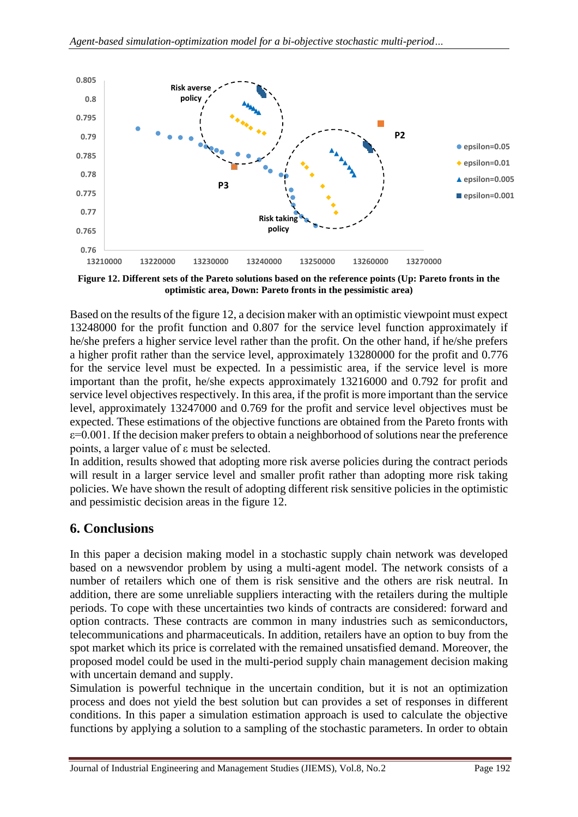

**Figure 12. Different sets of the Pareto solutions based on the reference points (Up: Pareto fronts in the optimistic area, Down: Pareto fronts in the pessimistic area)**

Based on the results of the figure 12, a decision maker with an optimistic viewpoint must expect 13248000 for the profit function and 0.807 for the service level function approximately if he/she prefers a higher service level rather than the profit. On the other hand, if he/she prefers a higher profit rather than the service level, approximately 13280000 for the profit and 0.776 for the service level must be expected. In a pessimistic area, if the service level is more important than the profit, he/she expects approximately 13216000 and 0.792 for profit and service level objectives respectively. In this area, if the profit is more important than the service level, approximately 13247000 and 0.769 for the profit and service level objectives must be expected. These estimations of the objective functions are obtained from the Pareto fronts with  $\varepsilon$ =0.001. If the decision maker prefers to obtain a neighborhood of solutions near the preference points, a larger value of ε must be selected.

In addition, results showed that adopting more risk averse policies during the contract periods will result in a larger service level and smaller profit rather than adopting more risk taking policies. We have shown the result of adopting different risk sensitive policies in the optimistic and pessimistic decision areas in the figure 12.

## **6. Conclusions**

In this paper a decision making model in a stochastic supply chain network was developed based on a newsvendor problem by using a multi-agent model. The network consists of a number of retailers which one of them is risk sensitive and the others are risk neutral. In addition, there are some unreliable suppliers interacting with the retailers during the multiple periods. To cope with these uncertainties two kinds of contracts are considered: forward and option contracts. These contracts are common in many industries such as semiconductors, telecommunications and pharmaceuticals. In addition, retailers have an option to buy from the spot market which its price is correlated with the remained unsatisfied demand. Moreover, the proposed model could be used in the multi-period supply chain management decision making with uncertain demand and supply.

Simulation is powerful technique in the uncertain condition, but it is not an optimization process and does not yield the best solution but can provides a set of responses in different conditions. In this paper a simulation estimation approach is used to calculate the objective functions by applying a solution to a sampling of the stochastic parameters. In order to obtain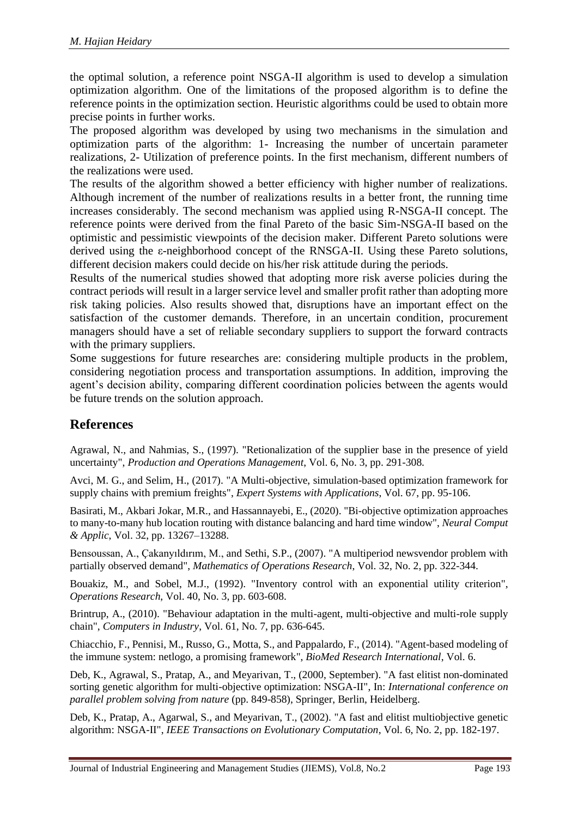the optimal solution, a reference point NSGA-II algorithm is used to develop a simulation optimization algorithm. One of the limitations of the proposed algorithm is to define the reference points in the optimization section. Heuristic algorithms could be used to obtain more precise points in further works.

The proposed algorithm was developed by using two mechanisms in the simulation and optimization parts of the algorithm: 1- Increasing the number of uncertain parameter realizations, 2- Utilization of preference points. In the first mechanism, different numbers of the realizations were used.

The results of the algorithm showed a better efficiency with higher number of realizations. Although increment of the number of realizations results in a better front, the running time increases considerably. The second mechanism was applied using R-NSGA-II concept. The reference points were derived from the final Pareto of the basic Sim-NSGA-II based on the optimistic and pessimistic viewpoints of the decision maker. Different Pareto solutions were derived using the ε-neighborhood concept of the RNSGA-II. Using these Pareto solutions, different decision makers could decide on his/her risk attitude during the periods.

Results of the numerical studies showed that adopting more risk averse policies during the contract periods will result in a larger service level and smaller profit rather than adopting more risk taking policies. Also results showed that, disruptions have an important effect on the satisfaction of the customer demands. Therefore, in an uncertain condition, procurement managers should have a set of reliable secondary suppliers to support the forward contracts with the primary suppliers.

Some suggestions for future researches are: considering multiple products in the problem, considering negotiation process and transportation assumptions. In addition, improving the agent's decision ability, comparing different coordination policies between the agents would be future trends on the solution approach.

### **References**

Agrawal, N., and Nahmias, S., (1997). "Retionalization of the supplier base in the presence of yield uncertainty", *Production and Operations Management*, Vol. 6, No. 3, pp. 291-308.

Avci, M. G., and Selim, H., (2017). "A Multi-objective, simulation-based optimization framework for supply chains with premium freights", *Expert Systems with Applications*, Vol. 67, pp. 95-106.

Basirati, M., Akbari Jokar, M.R., and Hassannayebi, E., (2020). "Bi-objective optimization approaches to many-to-many hub location routing with distance balancing and hard time window", *Neural Comput & Applic*, Vol. 32, pp. 13267–13288.

Bensoussan, A., Çakanyıldırım, M., and Sethi, S.P., (2007). "A multiperiod newsvendor problem with partially observed demand", *Mathematics of Operations Research*, Vol. 32, No. 2, pp. 322-344.

Bouakiz, M., and Sobel, M.J., (1992). "Inventory control with an exponential utility criterion", *Operations Research*, Vol. 40, No. 3, pp. 603-608.

Brintrup, A., (2010). "Behaviour adaptation in the multi-agent, multi-objective and multi-role supply chain", *Computers in Industry*, Vol. 61, No. 7, pp. 636-645.

Chiacchio, F., Pennisi, M., Russo, G., Motta, S., and Pappalardo, F., (2014). "Agent-based modeling of the immune system: netlogo, a promising framework", *BioMed Research International*, Vol. 6.

Deb, K., Agrawal, S., Pratap, A., and Meyarivan, T., (2000, September). "A fast elitist non-dominated sorting genetic algorithm for multi-objective optimization: NSGA-II", In: *International conference on parallel problem solving from nature* (pp. 849-858), Springer, Berlin, Heidelberg.

Deb, K., Pratap, A., Agarwal, S., and Meyarivan, T., (2002). "A fast and elitist multiobjective genetic algorithm: NSGA-II", *IEEE Transactions on Evolutionary Computation*, Vol. 6, No. 2, pp. 182-197.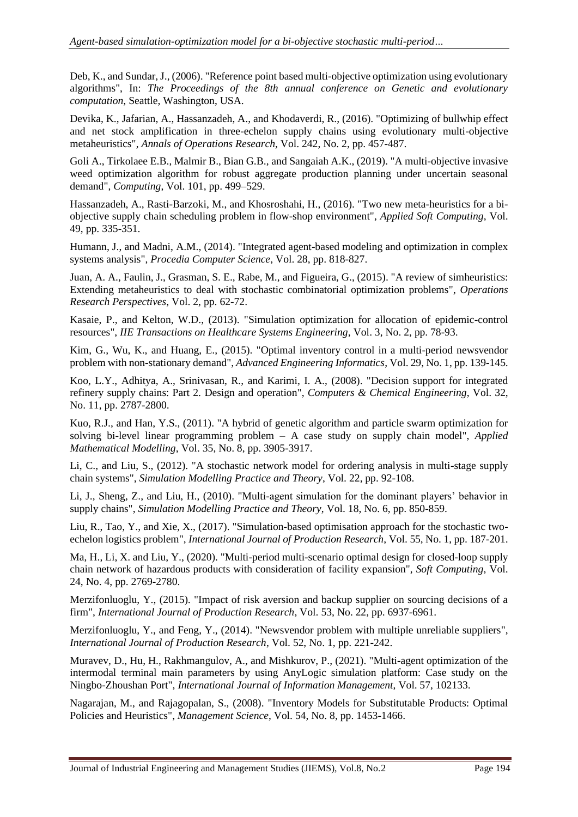Deb, K., and Sundar, J., (2006). "Reference point based multi-objective optimization using evolutionary algorithms", In: *The Proceedings of the 8th annual conference on Genetic and evolutionary computation*, Seattle, Washington, USA.

Devika, K., Jafarian, A., Hassanzadeh, A., and Khodaverdi, R., (2016). "Optimizing of bullwhip effect and net stock amplification in three-echelon supply chains using evolutionary multi-objective metaheuristics", *Annals of Operations Research*, Vol. 242, No. 2, pp. 457-487.

Goli A., Tirkolaee E.B., Malmir B., Bian G.B., and Sangaiah A.K., (2019). "A multi-objective invasive weed optimization algorithm for robust aggregate production planning under uncertain seasonal demand", *Computing*, Vol. 101, pp. 499–529.

Hassanzadeh, A., Rasti-Barzoki, M., and Khosroshahi, H., (2016). "Two new meta-heuristics for a biobjective supply chain scheduling problem in flow-shop environment", *Applied Soft Computing*, Vol. 49, pp. 335-351.

Humann, J., and Madni, A.M., (2014). "Integrated agent-based modeling and optimization in complex systems analysis", *Procedia Computer Science*, Vol. 28, pp. 818-827.

Juan, A. A., Faulin, J., Grasman, S. E., Rabe, M., and Figueira, G., (2015). "A review of simheuristics: Extending metaheuristics to deal with stochastic combinatorial optimization problems", *Operations Research Perspectives*, Vol. 2, pp. 62-72.

Kasaie, P., and Kelton, W.D., (2013). "Simulation optimization for allocation of epidemic-control resources", *IIE Transactions on Healthcare Systems Engineering*, Vol. 3, No. 2, pp. 78-93.

Kim, G., Wu, K., and Huang, E., (2015). "Optimal inventory control in a multi-period newsvendor problem with non-stationary demand", *Advanced Engineering Informatics*, Vol. 29, No. 1, pp. 139-145.

Koo, L.Y., Adhitya, A., Srinivasan, R., and Karimi, I. A., (2008). "Decision support for integrated refinery supply chains: Part 2. Design and operation", *Computers & Chemical Engineering*, Vol. 32, No. 11, pp. 2787-2800.

Kuo, R.J., and Han, Y.S., (2011). "A hybrid of genetic algorithm and particle swarm optimization for solving bi-level linear programming problem – A case study on supply chain model", *Applied Mathematical Modelling*, Vol. 35, No. 8, pp. 3905-3917.

Li, C., and Liu, S., (2012). "A stochastic network model for ordering analysis in multi-stage supply chain systems", *Simulation Modelling Practice and Theory*, Vol. 22, pp. 92-108.

Li, J., Sheng, Z., and Liu, H., (2010). "Multi-agent simulation for the dominant players' behavior in supply chains", *Simulation Modelling Practice and Theory*, Vol. 18, No. 6, pp. 850-859.

Liu, R., Tao, Y., and Xie, X., (2017). "Simulation-based optimisation approach for the stochastic twoechelon logistics problem", *International Journal of Production Research*, Vol. 55, No. 1, pp. 187-201.

Ma, H., Li, X. and Liu, Y., (2020). "Multi-period multi-scenario optimal design for closed-loop supply chain network of hazardous products with consideration of facility expansion", *Soft Computing*, Vol. 24, No. 4, pp. 2769-2780.

Merzifonluoglu, Y., (2015). "Impact of risk aversion and backup supplier on sourcing decisions of a firm", *International Journal of Production Research*, Vol. 53, No. 22, pp. 6937-6961.

Merzifonluoglu, Y., and Feng, Y., (2014). "Newsvendor problem with multiple unreliable suppliers", *International Journal of Production Research*, Vol. 52, No. 1, pp. 221-242.

Muravev, D., Hu, H., Rakhmangulov, A., and Mishkurov, P., (2021). "Multi-agent optimization of the intermodal terminal main parameters by using AnyLogic simulation platform: Case study on the Ningbo-Zhoushan Port", *International Journal of Information Management*, Vol. 57, 102133.

Nagarajan, M., and Rajagopalan, S., (2008). "Inventory Models for Substitutable Products: Optimal Policies and Heuristics", *Management Science*, Vol. 54, No. 8, pp. 1453-1466.